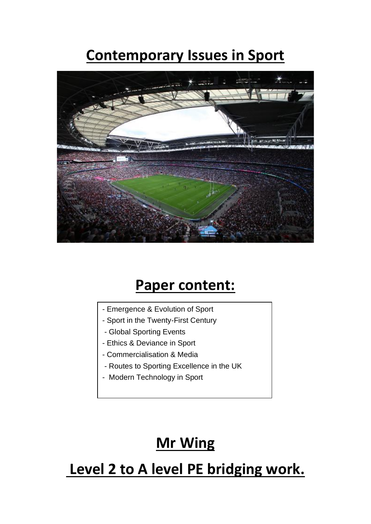# **Contemporary Issues in Sport**



#### **Paper content:**

- Emergence & Evolution of Sport
- Sport in the Twenty-First Century
- - Global Sporting Events
- Ethics & Deviance in Sport
- - Commercialisation & Media
- - Routes to Sporting Excellence in the UK
- Modern Technology in Sport

## **Mr Wing**

### **Level 2 to A level PE bridging work.**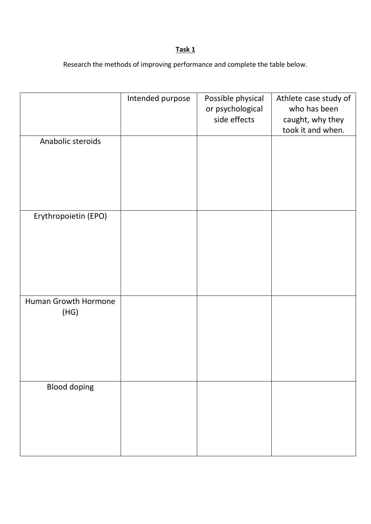#### **Task 1**

Research the methods of improving performance and complete the table below.

|                              | Intended purpose | Possible physical<br>or psychological<br>side effects | Athlete case study of<br>who has been<br>caught, why they<br>took it and when. |
|------------------------------|------------------|-------------------------------------------------------|--------------------------------------------------------------------------------|
| Anabolic steroids            |                  |                                                       |                                                                                |
| Erythropoietin (EPO)         |                  |                                                       |                                                                                |
| Human Growth Hormone<br>(HG) |                  |                                                       |                                                                                |
| <b>Blood doping</b>          |                  |                                                       |                                                                                |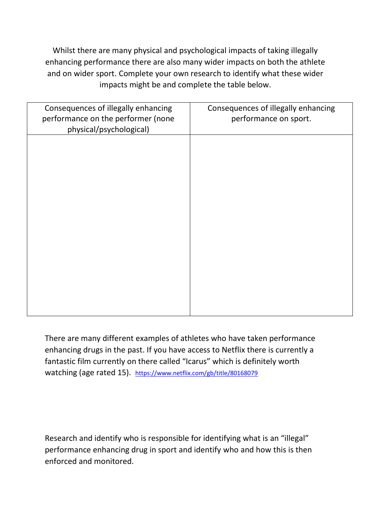Whilst there are many physical and psychological impacts of taking illegally enhancing performance there are also many wider impacts on both the athlete and on wider sport. Complete your own research to identify what these wider impacts might be and complete the table below.

| Consequences of illegally enhancing<br>performance on the performer (none<br>physical/psychological) | Consequences of illegally enhancing<br>performance on sport. |  |
|------------------------------------------------------------------------------------------------------|--------------------------------------------------------------|--|
|                                                                                                      |                                                              |  |
|                                                                                                      |                                                              |  |
|                                                                                                      |                                                              |  |
|                                                                                                      |                                                              |  |
|                                                                                                      |                                                              |  |
|                                                                                                      |                                                              |  |

There are many different examples of athletes who have taken performance enhancing drugs in the past. If you have access to Netflix there is currently a fantastic film currently on there called "Icarus" which is definitely worth watching (age rated 15). <https://www.netflix.com/gb/title/80168079>

Research and identify who is responsible for identifying what is an "illegal" performance enhancing drug in sport and identify who and how this is then enforced and monitored.